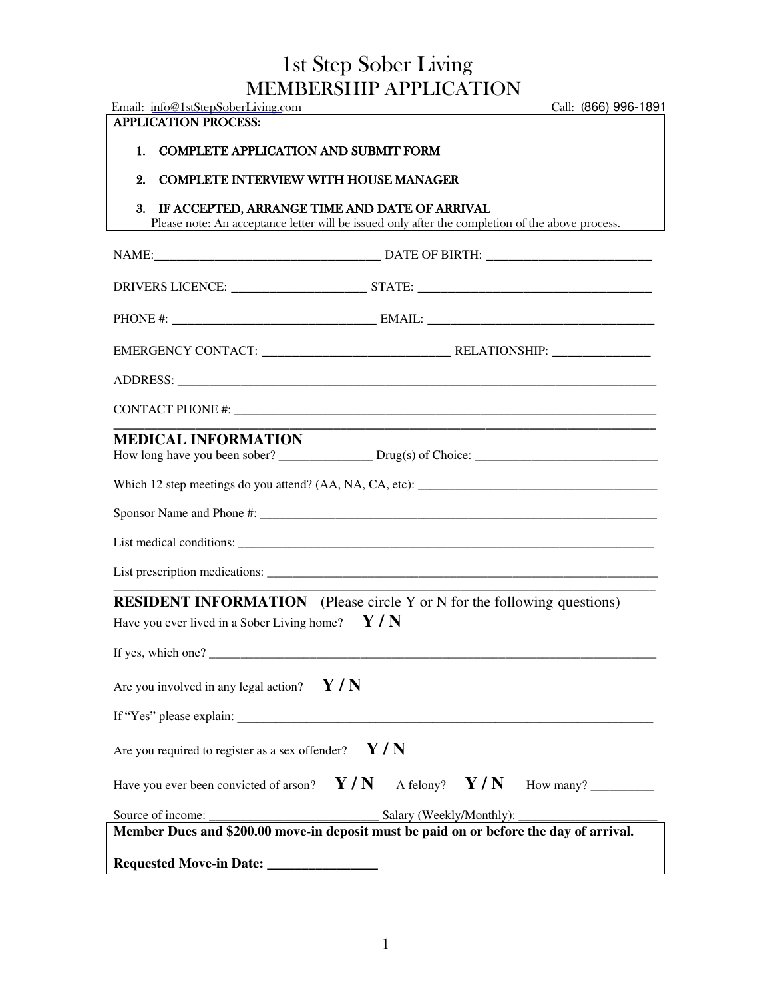### MEMBERSHIP APPLICATION 1st Step Sober Living

| Email: info@1stStepSoberLiving.com                                                                          | Call: (866) 996-1891                                                                             |
|-------------------------------------------------------------------------------------------------------------|--------------------------------------------------------------------------------------------------|
| <b>APPLICATION PROCESS:</b>                                                                                 |                                                                                                  |
| <b>COMPLETE APPLICATION AND SUBMIT FORM</b><br>1.                                                           |                                                                                                  |
| 2.<br><b>COMPLETE INTERVIEW WITH HOUSE MANAGER</b>                                                          |                                                                                                  |
| IF ACCEPTED, ARRANGE TIME AND DATE OF ARRIVAL<br>3.                                                         | Please note: An acceptance letter will be issued only after the completion of the above process. |
|                                                                                                             |                                                                                                  |
|                                                                                                             |                                                                                                  |
|                                                                                                             |                                                                                                  |
|                                                                                                             |                                                                                                  |
|                                                                                                             |                                                                                                  |
|                                                                                                             |                                                                                                  |
| <b>MEDICAL INFORMATION</b>                                                                                  |                                                                                                  |
|                                                                                                             |                                                                                                  |
|                                                                                                             |                                                                                                  |
|                                                                                                             |                                                                                                  |
|                                                                                                             |                                                                                                  |
| <b>RESIDENT INFORMATION</b> (Please circle Y or N for the following questions)                              |                                                                                                  |
| Have you ever lived in a Sober Living home? $\mathbf{Y} / \mathbf{N}$                                       |                                                                                                  |
|                                                                                                             |                                                                                                  |
| Are you involved in any legal action? $Y/N$                                                                 |                                                                                                  |
|                                                                                                             |                                                                                                  |
| Are you required to register as a sex offender?                                                             | Y/N                                                                                              |
|                                                                                                             | Have you ever been convicted of arson? $Y/N$ A felony? $Y/N$ How many?                           |
| Source of income:<br>Member Dues and \$200.00 move-in deposit must be paid on or before the day of arrival. | Salary (Weekly/Monthly):                                                                         |
|                                                                                                             |                                                                                                  |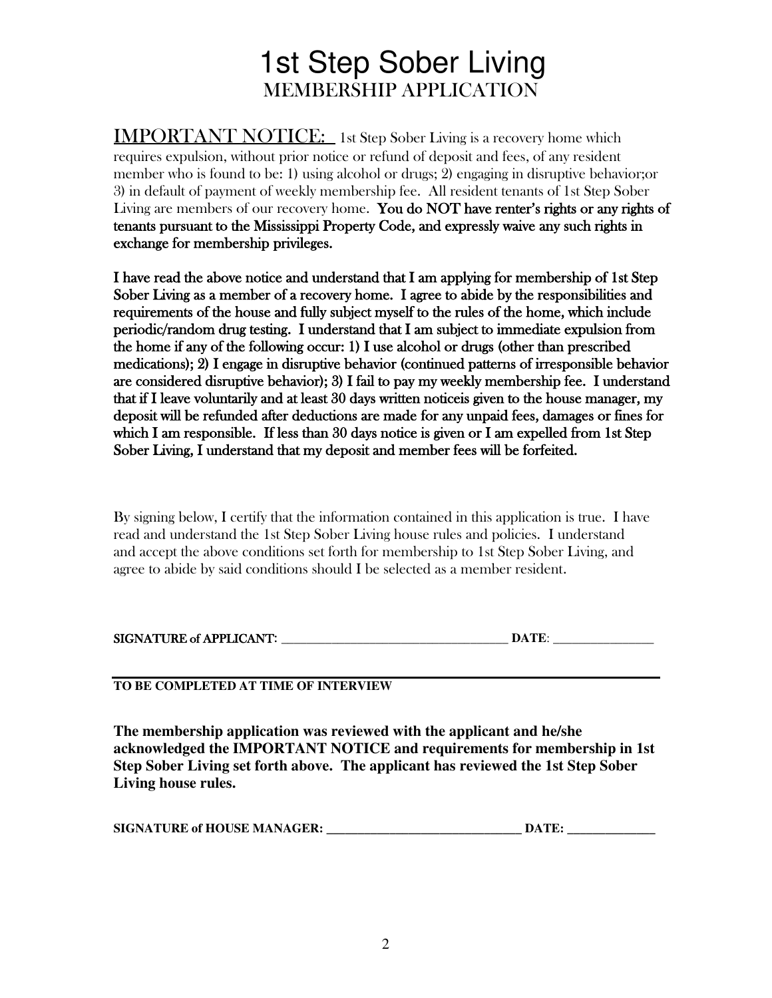## MEMBERSHIP APPLICATION 1st Step Sober Living

Living are members of our recovery home. You do NOT have renter's rights or any rights of exchange for membership privileges. tenants pursuant to the Mississippi Property Code, and expressly waive any such rights in 3) in default of payment of weekly membership fee. All resident tenants of 1st Step Sober member who is found to be: 1) using alcohol or drugs; 2) engaging in disruptive behavior;or requires expulsion, without prior notice or refund of deposit and fees, of any resident IMPORTANT NOTICE: 1st Step Sober Living is a recovery home which

 Sober Living as a member of a recovery home. I agree to abide by the responsibilities and medications); 2) I engage in disruptive behavior (continued patterns of irresponsible behavior are considered disruptive behavior); 3) I fail to pay my weekly membership fee. I understand which I am responsible. If less than 30 days notice is given or I am expelled from 1st Step Sober Living, I understand that my deposit and member fees will be forfeited. deposit will be refunded after deductions are made for any unpaid fees, damages or fines for that if I leave voluntarily and at least 30 days written notice is given to the house manager, my the home if any of the following occur: 1) I use alcohol or drugs (other than prescribed periodic/random drug testing. I understand that I am subject to immediate expulsion from requirements of the house and fully subject myself to the rules of the home, which include I have read the above notice and understand that I am applying for membership of 1st Step

agree to abide by said conditions should I be selected as a member resident. and accept the above conditions set forth for membership to 1st Step Sober Living, and read and understand the 1st Step Sober Living house rules and policies. I understand By signing below, I certify that the information contained in this application is true. I have

| <b>SIGNATURE of APPLICANT:</b> |  |
|--------------------------------|--|
|                                |  |

#### **TO BE COMPLETED AT TIME OF INTERVIEW**

**Living house rules. Step Sober Living set forth above. The applicant has reviewed the 1st Step Sober acknowledged the IMPORTANT NOTICE and requirements for membership in 1st The membership application was reviewed with the applicant and he/she**

| <b>SIGNATURE of HOUSE MANAGER:</b> | DATE. |
|------------------------------------|-------|
|------------------------------------|-------|